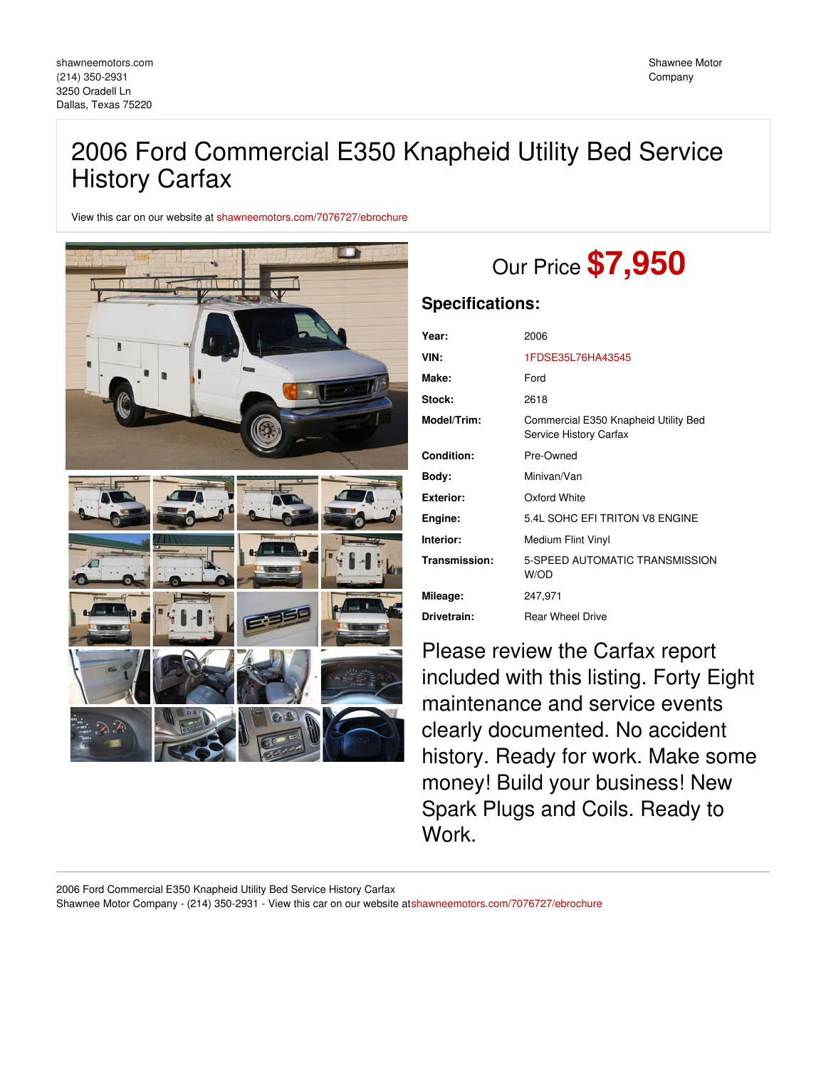# 2006 Ford Commercial E350 Knapheid Utility Bed Service History Carfax

View this car on our website at [shawneemotors.com/7076727/ebrochure](https://shawneemotors.com/vehicle/7076727/2006-ford-commercial-e350-knapheid-utility-bed-service-history-carfax-dallas-texas-75220/7076727/ebrochure)



# Our Price **\$7,950**

## **Specifications:**

| Year:            | 2006                                                           |
|------------------|----------------------------------------------------------------|
| VIN:             | 1FDSE35L76HA43545                                              |
| Make:            | Ford                                                           |
| Stock:           | 2618                                                           |
| Model/Trim:      | Commercial E350 Knapheid Utility Bed<br>Service History Carfax |
| Condition:       | Pre-Owned                                                      |
| Body:            | Minivan/Van                                                    |
| <b>Exterior:</b> | Oxford White                                                   |
| Engine:          | 5.4L SOHC EFI TRITON V8 ENGINE                                 |
| Interior:        | Medium Flint Vinyl                                             |
| Transmission:    | 5-SPEED AUTOMATIC TRANSMISSION<br>W/OD                         |
| Mileage:         | 247,971                                                        |
| Drivetrain:      | <b>Rear Wheel Drive</b>                                        |
|                  |                                                                |

Please review the Carfax report included with this listing. Forty Eight maintenance and service events clearly documented. No accident history. Ready for work. Make some money! Build your business! New Spark Plugs and Coils. Ready to Work.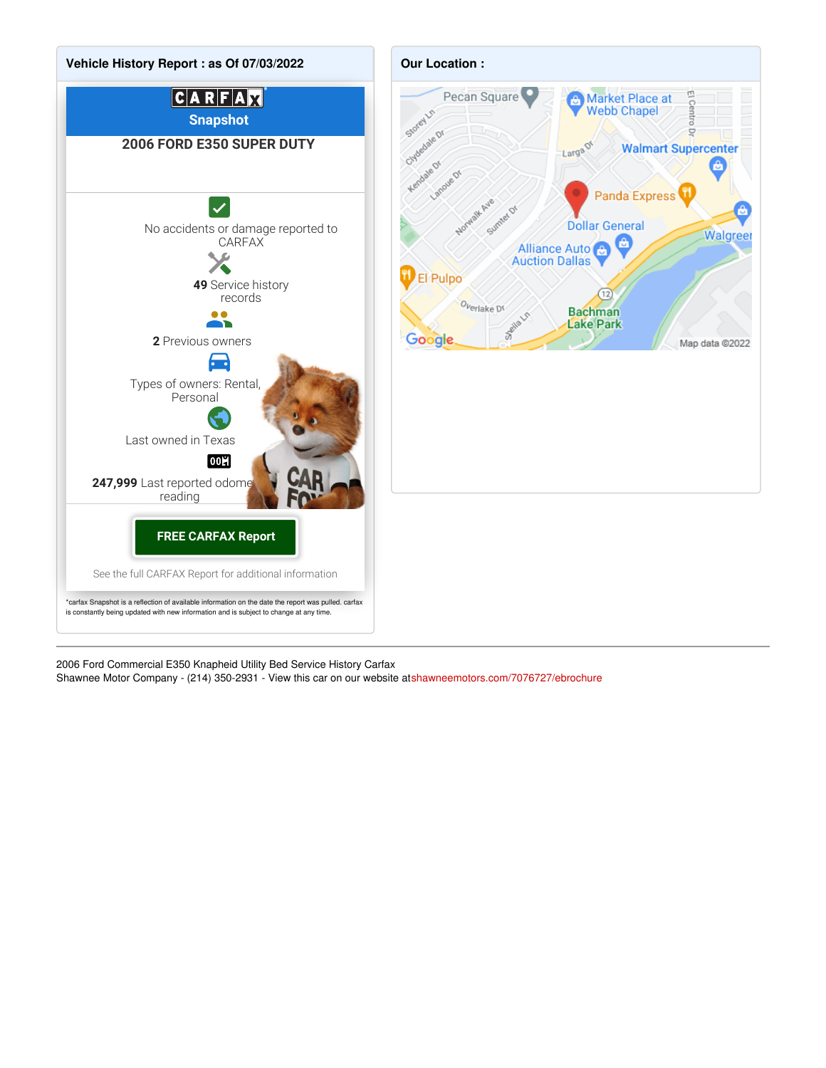

2006 Ford Commercial E350 Knapheid Utility Bed Service History Carfax Shawnee Motor Company - (214) 350-2931 - View this car on our website a[tshawneemotors.com/7076727/ebrochure](https://shawneemotors.com/vehicle/7076727/2006-ford-commercial-e350-knapheid-utility-bed-service-history-carfax-dallas-texas-75220/7076727/ebrochure)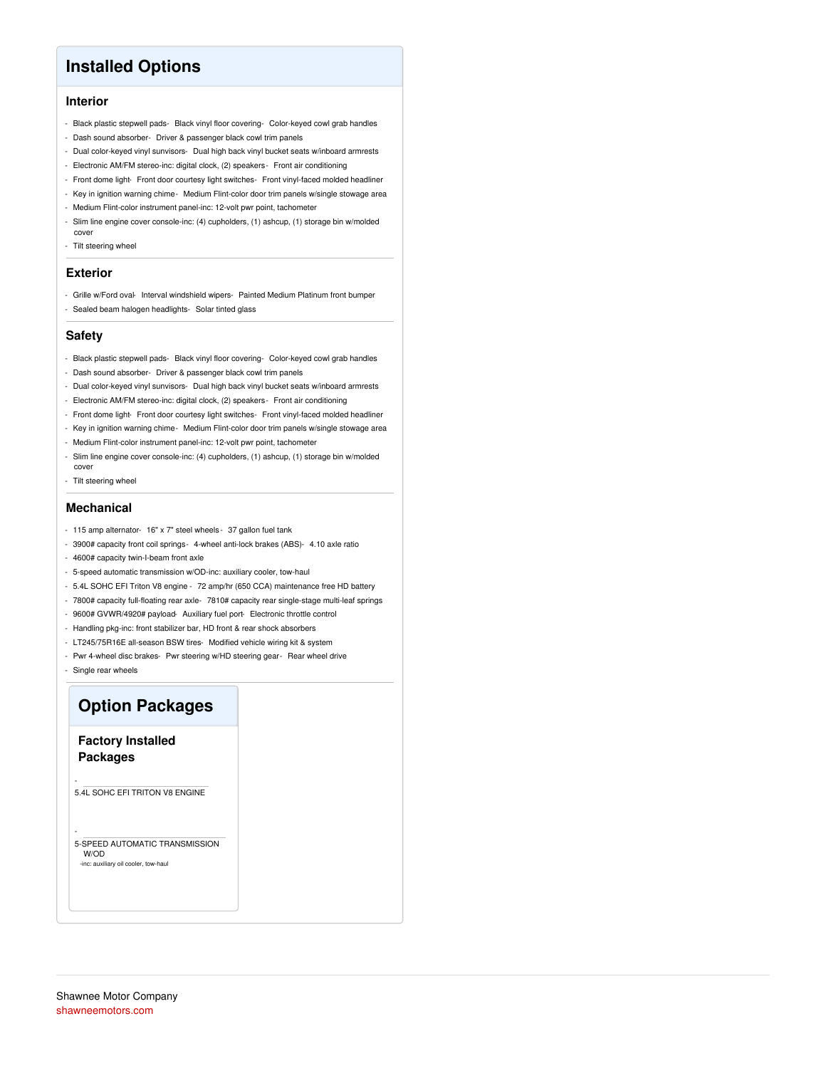# **Installed Options**

### **Interior**

- Black plastic stepwell pads- Black vinyl floor covering- Color-keyed cowl grab handles
- Dash sound absorber- Driver & passenger black cowl trim panels
- Dual color-keyed vinyl sunvisors- Dual high back vinyl bucket seats w/inboard armrests
- Electronic AM/FM stereo-inc: digital clock, (2) speakers- Front air conditioning
- Front dome light- Front door courtesy light switches- Front vinyl-faced molded headliner
- Key in ignition warning chime- Medium Flint-color door trim panels w/single stowage area
- Medium Flint-color instrument panel-inc: 12-volt pwr point, tachometer
- Slim line engine cover console-inc: (4) cupholders, (1) ashcup, (1) storage bin w/molded cover
- Tilt steering wheel

#### **Exterior**

- Grille w/Ford oval- Interval windshield wipers- Painted Medium Platinum front bumper - Sealed beam halogen headlights- Solar tinted glass

#### **Safety**

- Black plastic stepwell pads- Black vinyl floor covering- Color-keyed cowl grab handles
- Dash sound absorber- Driver & passenger black cowl trim panels
- Dual color-keyed vinyl sunvisors- Dual high back vinyl bucket seats w/inboard armrests
- Electronic AM/FM stereo-inc: digital clock, (2) speakers- Front air conditioning
- Front dome light- Front door courtesy light switches- Front vinyl-faced molded headliner
- Key in ignition warning chime- Medium Flint-color door trim panels w/single stowage area
- Medium Flint-color instrument panel-inc: 12-volt pwr point, tachometer
- Slim line engine cover console-inc: (4) cupholders, (1) ashcup, (1) storage bin w/molded cover
- Tilt steering wheel

#### **Mechanical**

- 115 amp alternator- 16" x 7" steel wheels 37 gallon fuel tank
- 3900# capacity front coil springs- 4-wheel anti-lock brakes (ABS)- 4.10 axle ratio
- 4600# capacity twin-I-beam front axle
- 5-speed automatic transmission w/OD-inc: auxiliary cooler, tow-haul
- 5.4L SOHC EFI Triton V8 engine 72 amp/hr (650 CCA) maintenance free HD battery
- 7800# capacity full-floating rear axle- 7810# capacity rear single-stage multi-leaf springs
- 9600# GVWR/4920# payload- Auxiliary fuel port- Electronic throttle control
- Handling pkg-inc: front stabilizer bar, HD front & rear shock absorbers
- LT245/75R16E all-season BSW tires- Modified vehicle wiring kit & system
- Pwr 4-wheel disc brakes- Pwr steering w/HD steering gear- Rear wheel drive

- Single rear wheels

-

-

## **Option Packages**

### **Factory Installed Packages**

5.4L SOHC EFI TRITON V8 ENGINE

#### 5-SPEED AUTOMATIC TRANSMISSION W/OD -inc: auxiliary oil cooler, tow-haul